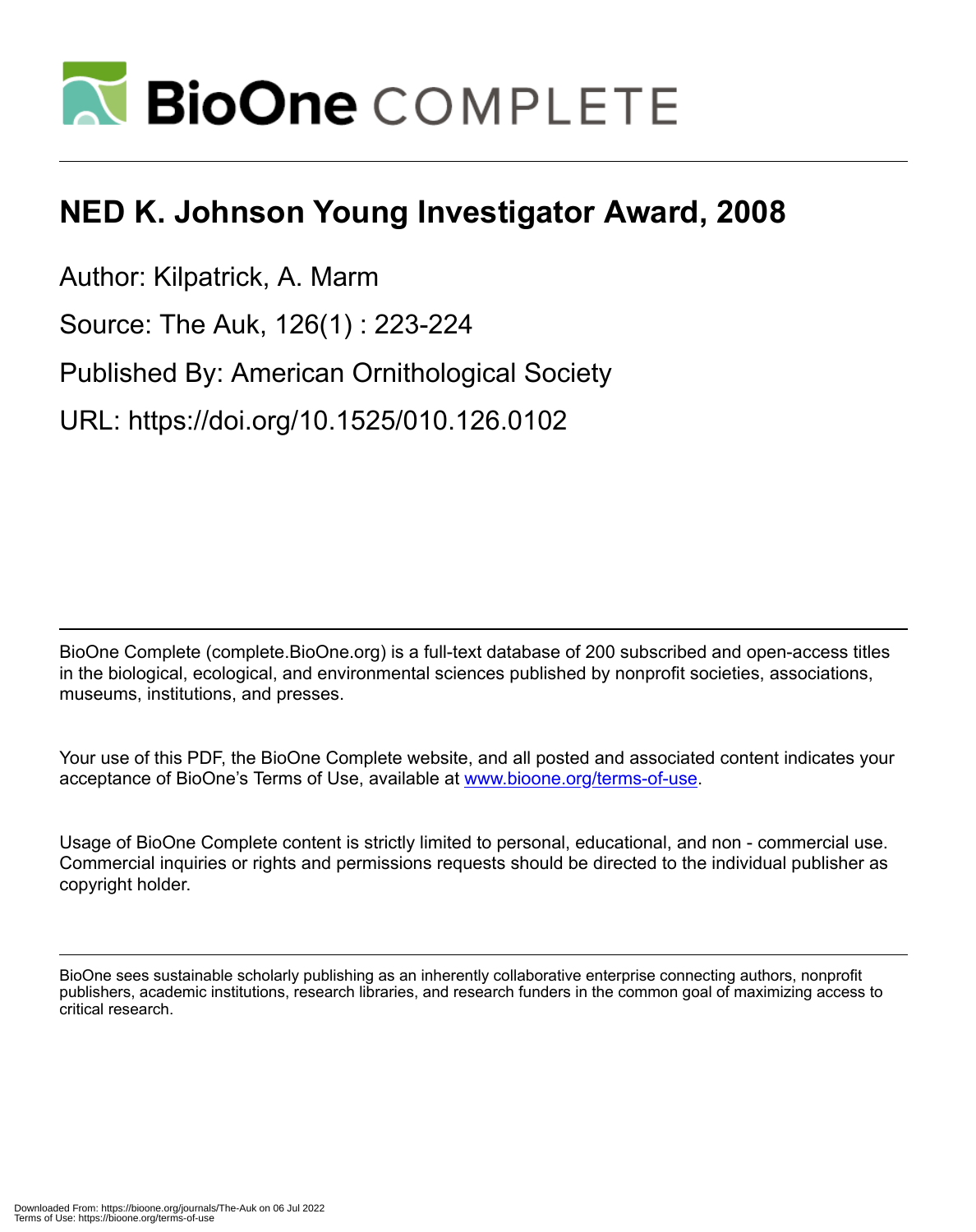

## **NED K. Johnson Young Investigator Award, 2008**

Author: Kilpatrick, A. Marm

Source: The Auk, 126(1) : 223-224

Published By: American Ornithological Society

URL: https://doi.org/10.1525/010.126.0102

BioOne Complete (complete.BioOne.org) is a full-text database of 200 subscribed and open-access titles in the biological, ecological, and environmental sciences published by nonprofit societies, associations, museums, institutions, and presses.

Your use of this PDF, the BioOne Complete website, and all posted and associated content indicates your acceptance of BioOne's Terms of Use, available at www.bioone.org/terms-of-use.

Usage of BioOne Complete content is strictly limited to personal, educational, and non - commercial use. Commercial inquiries or rights and permissions requests should be directed to the individual publisher as copyright holder.

BioOne sees sustainable scholarly publishing as an inherently collaborative enterprise connecting authors, nonprofit publishers, academic institutions, research libraries, and research funders in the common goal of maximizing access to critical research.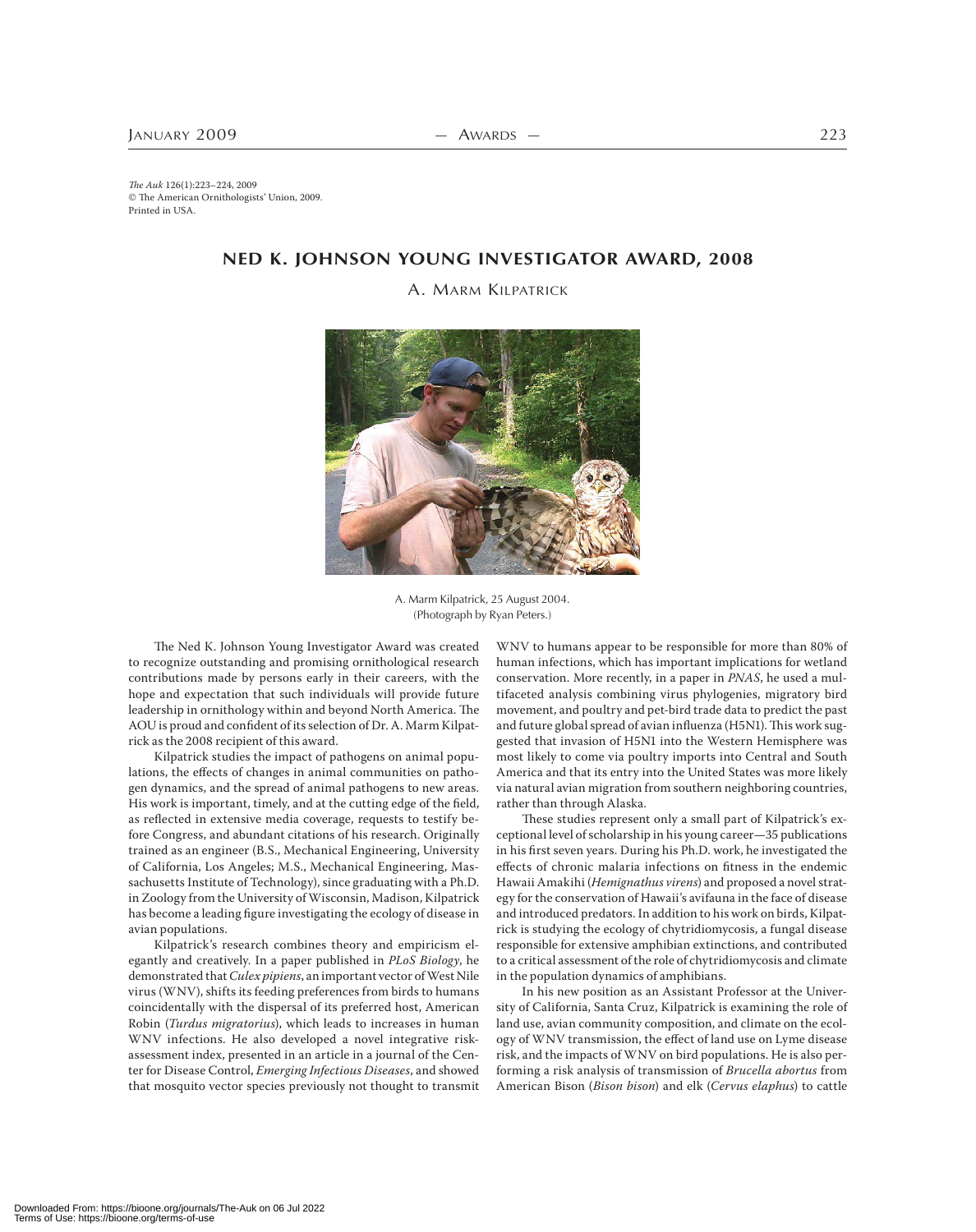The Auk 126(1):223–224, 2009 The American Ornithologists' Union, 2009. Printed in USA.

## **NED K. JOHNSON YOUNG INVESTIGATOR AWARD, 2008**

A. MARM KILPATRICK



A. Marm Kilpatrick, 25 August 2004. (Photograph by Ryan Peters.)

The Ned K. Johnson Young Investigator Award was created to recognize outstanding and promising ornithological research contributions made by persons early in their careers, with the hope and expectation that such individuals will provide future leadership in ornithology within and beyond North America. The AOU is proud and confident of its selection of Dr. A. Marm Kilpatrick as the 2008 recipient of this award.

Kilpatrick studies the impact of pathogens on animal populations, the effects of changes in animal communities on pathogen dynamics, and the spread of animal pathogens to new areas. His work is important, timely, and at the cutting edge of the field, as reflected in extensive media coverage, requests to testify before Congress, and abundant citations of his research. Originally trained as an engineer (B.S., Mechanical Engineering, University of California, Los Angeles; M.S., Mechanical Engineering, Massachusetts Institute of Technology), since graduating with a Ph.D. in Zoology from the University of Wisconsin, Madison, Kilpatrick has become a leading figure investigating the ecology of disease in avian populations.

Kilpatrick's research combines theory and empiricism elegantly and creatively. In a paper published in PLoS Biology, he demonstrated that Culex pipiens, an important vector of West Nile virus (WNV), shifts its feeding preferences from birds to humans coincidentally with the dispersal of its preferred host, American Robin (Turdus migratorius), which leads to increases in human WNV infections. He also developed a novel integrative riskassessment index, presented in an article in a journal of the Center for Disease Control, Emerging Infectious Diseases, and showed that mosquito vector species previously not thought to transmit

WNV to humans appear to be responsible for more than 80% of human infections, which has important implications for wetland conservation. More recently, in a paper in PNAS, he used a multifaceted analysis combining virus phylogenies, migratory bird movement, and poultry and pet-bird trade data to predict the past and future global spread of avian influenza (H5N1). This work suggested that invasion of H5N1 into the Western Hemisphere was most likely to come via poultry imports into Central and South America and that its entry into the United States was more likely via natural avian migration from southern neighboring countries, rather than through Alaska.

These studies represent only a small part of Kilpatrick's exceptional level of scholarship in his young career-35 publications in his first seven years. During his Ph.D. work, he investigated the effects of chronic malaria infections on fitness in the endemic Hawaii Amakihi (Hemignathus virens) and proposed a novel strategy for the conservation of Hawaii's avifauna in the face of disease and introduced predators. In addition to his work on birds, Kilpatrick is studying the ecology of chytridiomycosis, a fungal disease responsible for extensive amphibian extinctions, and contributed to a critical assessment of the role of chytridiomycosis and climate in the population dynamics of amphibians.

In his new position as an Assistant Professor at the University of California, Santa Cruz, Kilpatrick is examining the role of land use, avian community composition, and climate on the ecology of WNV transmission, the effect of land use on Lyme disease risk, and the impacts of WNV on bird populations. He is also performing a risk analysis of transmission of Brucella abortus from American Bison (Bison bison) and elk (Cervus elaphus) to cattle